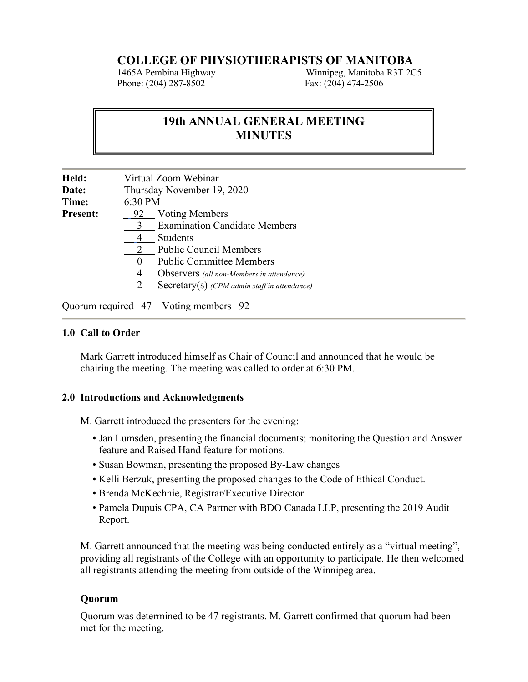# **COLLEGE OF PHYSIOTHERAPISTS OF MANITOBA**<br>1465A Pembina Highway Minnipeg, Manitoba R3T 2C

Phone: (204) 287-8502 Fax: (204) 474-2506

Winnipeg, Manitoba R3T 2C5

## **19th ANNUAL GENERAL MEETING MINUTES**

| Held:           | Virtual Zoom Webinar                         |  |
|-----------------|----------------------------------------------|--|
| <b>Date:</b>    | Thursday November 19, 2020                   |  |
| Time:           | 6:30 PM                                      |  |
| <b>Present:</b> | <b>Voting Members</b><br>92                  |  |
|                 | <b>Examination Candidate Members</b><br>3    |  |
|                 | <b>Students</b>                              |  |
|                 | <b>Public Council Members</b>                |  |
|                 | <b>Public Committee Members</b>              |  |
|                 | Observers (all non-Members in attendance)    |  |
|                 | Secretary(s) (CPM admin staff in attendance) |  |
|                 |                                              |  |

Quorum required 47 Voting members 92

#### **1.0 Call to Order**

Mark Garrett introduced himself as Chair of Council and announced that he would be chairing the meeting. The meeting was called to order at 6:30 PM.

#### **2.0 Introductions and Acknowledgments**

M. Garrett introduced the presenters for the evening:

- Jan Lumsden, presenting the financial documents; monitoring the Question and Answer feature and Raised Hand feature for motions.
- Susan Bowman, presenting the proposed By-Law changes
- Kelli Berzuk, presenting the proposed changes to the Code of Ethical Conduct.
- Brenda McKechnie, Registrar/Executive Director
- Pamela Dupuis CPA, CA Partner with BDO Canada LLP, presenting the 2019 Audit Report.

M. Garrett announced that the meeting was being conducted entirely as a "virtual meeting", providing all registrants of the College with an opportunity to participate. He then welcomed all registrants attending the meeting from outside of the Winnipeg area.

#### **Quorum**

Quorum was determined to be 47 registrants. M. Garrett confirmed that quorum had been met for the meeting.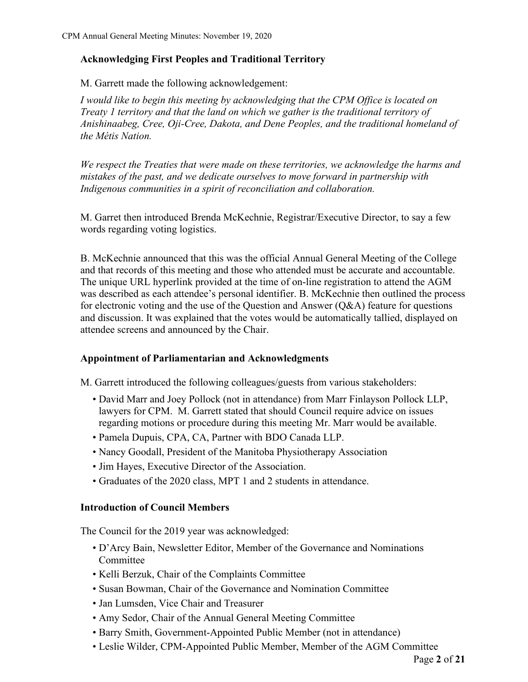## **Acknowledging First Peoples and Traditional Territory**

M. Garrett made the following acknowledgement:

*I would like to begin this meeting by acknowledging that the CPM Office is located on Treaty 1 territory and that the land on which we gather is the traditional territory of Anishinaabeg, Cree, Oji-Cree, Dakota, and Dene Peoples, and the traditional homeland of the Métis Nation.* 

*We respect the Treaties that were made on these territories, we acknowledge the harms and mistakes of the past, and we dedicate ourselves to move forward in partnership with Indigenous communities in a spirit of reconciliation and collaboration.*

M. Garret then introduced Brenda McKechnie, Registrar/Executive Director, to say a few words regarding voting logistics.

B. McKechnie announced that this was the official Annual General Meeting of the College and that records of this meeting and those who attended must be accurate and accountable. The unique URL hyperlink provided at the time of on-line registration to attend the AGM was described as each attendee's personal identifier. B. McKechnie then outlined the process for electronic voting and the use of the Question and Answer (Q&A) feature for questions and discussion. It was explained that the votes would be automatically tallied, displayed on attendee screens and announced by the Chair.

## **Appointment of Parliamentarian and Acknowledgments**

M. Garrett introduced the following colleagues/guests from various stakeholders:

- David Marr and Joey Pollock (not in attendance) from Marr Finlayson Pollock LLP, lawyers for CPM. M. Garrett stated that should Council require advice on issues regarding motions or procedure during this meeting Mr. Marr would be available.
- Pamela Dupuis, CPA, CA, Partner with BDO Canada LLP.
- Nancy Goodall, President of the Manitoba Physiotherapy Association
- Jim Hayes, Executive Director of the Association.
- Graduates of the 2020 class, MPT 1 and 2 students in attendance.

## **Introduction of Council Members**

The Council for the 2019 year was acknowledged:

- D'Arcy Bain, Newsletter Editor, Member of the Governance and Nominations Committee
- Kelli Berzuk, Chair of the Complaints Committee
- Susan Bowman, Chair of the Governance and Nomination Committee
- Jan Lumsden, Vice Chair and Treasurer
- Amy Sedor, Chair of the Annual General Meeting Committee
- Barry Smith, Government-Appointed Public Member (not in attendance)
- Leslie Wilder, CPM-Appointed Public Member, Member of the AGM Committee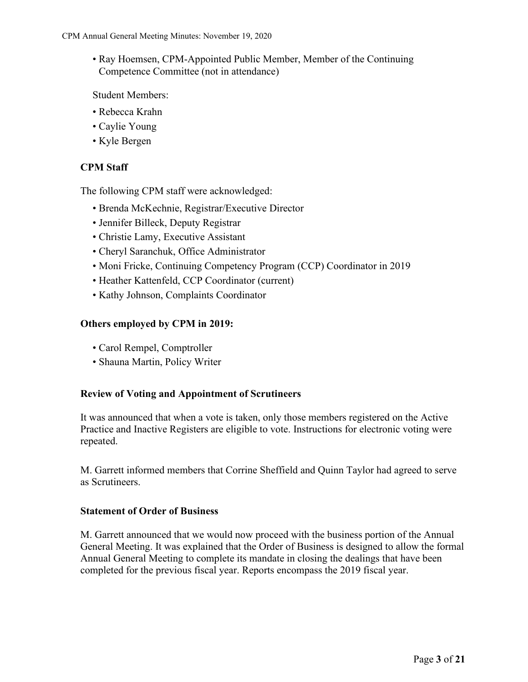• Ray Hoemsen, CPM-Appointed Public Member, Member of the Continuing Competence Committee (not in attendance)

Student Members:

- Rebecca Krahn
- Caylie Young
- Kyle Bergen

## **CPM Staff**

The following CPM staff were acknowledged:

- Brenda McKechnie, Registrar/Executive Director
- Jennifer Billeck, Deputy Registrar
- Christie Lamy, Executive Assistant
- Cheryl Saranchuk, Office Administrator
- Moni Fricke, Continuing Competency Program (CCP) Coordinator in 2019
- Heather Kattenfeld, CCP Coordinator (current)
- Kathy Johnson, Complaints Coordinator

## **Others employed by CPM in 2019:**

- Carol Rempel, Comptroller
- Shauna Martin, Policy Writer

## **Review of Voting and Appointment of Scrutineers**

It was announced that when a vote is taken, only those members registered on the Active Practice and Inactive Registers are eligible to vote. Instructions for electronic voting were repeated.

M. Garrett informed members that Corrine Sheffield and Quinn Taylor had agreed to serve as Scrutineers.

#### **Statement of Order of Business**

M. Garrett announced that we would now proceed with the business portion of the Annual General Meeting. It was explained that the Order of Business is designed to allow the formal Annual General Meeting to complete its mandate in closing the dealings that have been completed for the previous fiscal year. Reports encompass the 2019 fiscal year.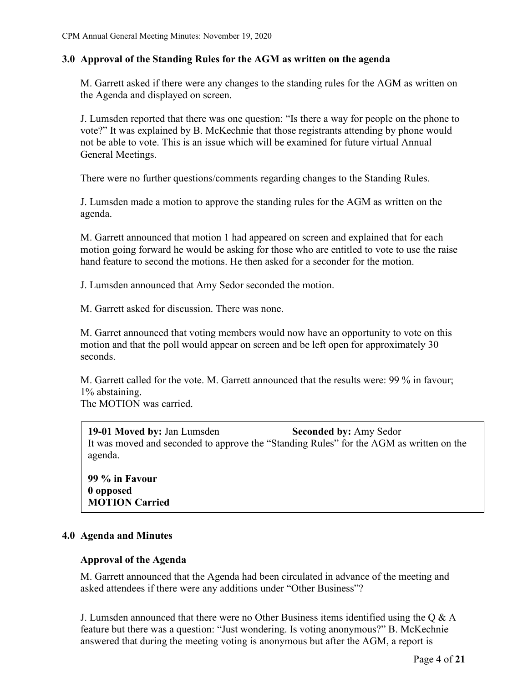#### **3.0 Approval of the Standing Rules for the AGM as written on the agenda**

M. Garrett asked if there were any changes to the standing rules for the AGM as written on the Agenda and displayed on screen.

J. Lumsden reported that there was one question: "Is there a way for people on the phone to vote?" It was explained by B. McKechnie that those registrants attending by phone would not be able to vote. This is an issue which will be examined for future virtual Annual General Meetings.

There were no further questions/comments regarding changes to the Standing Rules.

J. Lumsden made a motion to approve the standing rules for the AGM as written on the agenda.

M. Garrett announced that motion 1 had appeared on screen and explained that for each motion going forward he would be asking for those who are entitled to vote to use the raise hand feature to second the motions. He then asked for a seconder for the motion.

J. Lumsden announced that Amy Sedor seconded the motion.

M. Garrett asked for discussion. There was none.

M. Garret announced that voting members would now have an opportunity to vote on this motion and that the poll would appear on screen and be left open for approximately 30 seconds.

M. Garrett called for the vote. M. Garrett announced that the results were: 99 % in favour; 1% abstaining.

The MOTION was carried.

**19-01 Moved by:** Jan Lumsden **Seconded by:** Amy Sedor It was moved and seconded to approve the "Standing Rules" for the AGM as written on the agenda.

**99 % in Favour 0 opposed MOTION Carried**

#### **4.0 Agenda and Minutes**

#### **Approval of the Agenda**

M. Garrett announced that the Agenda had been circulated in advance of the meeting and asked attendees if there were any additions under "Other Business"?

J. Lumsden announced that there were no Other Business items identified using the Q & A feature but there was a question: "Just wondering. Is voting anonymous?" B. McKechnie answered that during the meeting voting is anonymous but after the AGM, a report is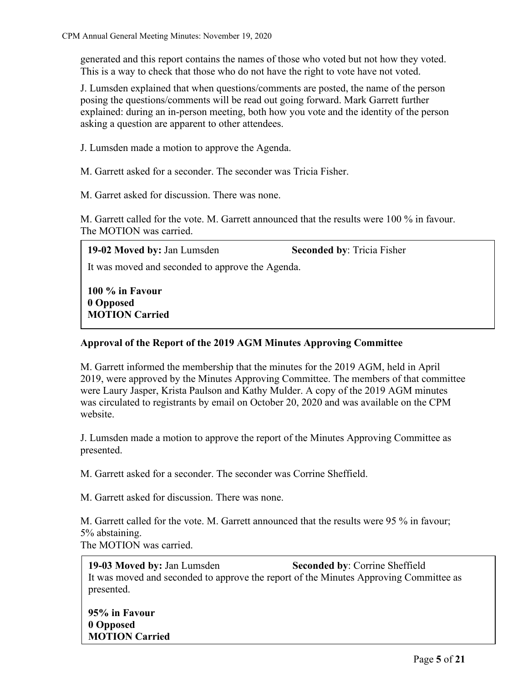generated and this report contains the names of those who voted but not how they voted. This is a way to check that those who do not have the right to vote have not voted.

J. Lumsden explained that when questions/comments are posted, the name of the person posing the questions/comments will be read out going forward. Mark Garrett further explained: during an in-person meeting, both how you vote and the identity of the person asking a question are apparent to other attendees.

J. Lumsden made a motion to approve the Agenda.

M. Garrett asked for a seconder. The seconder was Tricia Fisher.

M. Garret asked for discussion. There was none.

M. Garrett called for the vote. M. Garrett announced that the results were 100 % in favour. The MOTION was carried.

**19-02 Moved by:** Jan Lumsden **Seconded by**: Tricia Fisher

It was moved and seconded to approve the Agenda.

**100 % in Favour 0 Opposed MOTION Carried**

## **Approval of the Report of the 2019 AGM Minutes Approving Committee**

M. Garrett informed the membership that the minutes for the 2019 AGM, held in April 2019, were approved by the Minutes Approving Committee. The members of that committee were Laury Jasper, Krista Paulson and Kathy Mulder. A copy of the 2019 AGM minutes was circulated to registrants by email on October 20, 2020 and was available on the CPM website.

J. Lumsden made a motion to approve the report of the Minutes Approving Committee as presented.

M. Garrett asked for a seconder. The seconder was Corrine Sheffield.

M. Garrett asked for discussion. There was none.

M. Garrett called for the vote. M. Garrett announced that the results were 95 % in favour; 5% abstaining. The MOTION was carried.

**19-03 Moved by:** Jan Lumsden **Seconded by**: Corrine Sheffield It was moved and seconded to approve the report of the Minutes Approving Committee as presented.

**95% in Favour 0 Opposed MOTION Carried**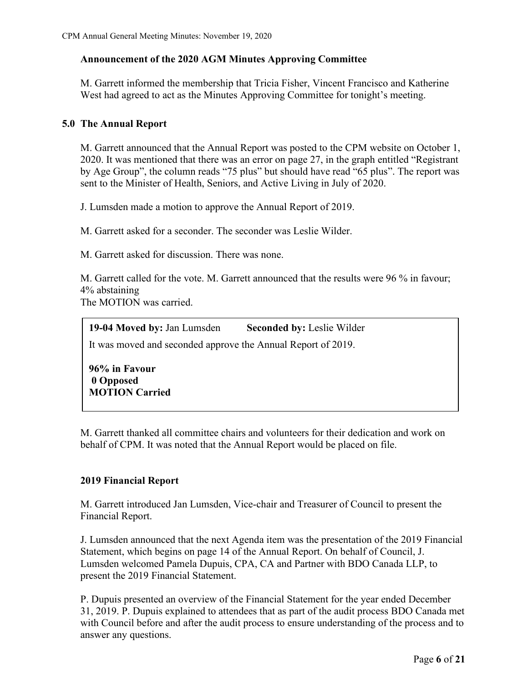## **Announcement of the 2020 AGM Minutes Approving Committee**

M. Garrett informed the membership that Tricia Fisher, Vincent Francisco and Katherine West had agreed to act as the Minutes Approving Committee for tonight's meeting.

## **5.0 The Annual Report**

M. Garrett announced that the Annual Report was posted to the CPM website on October 1, 2020. It was mentioned that there was an error on page 27, in the graph entitled "Registrant by Age Group", the column reads "75 plus" but should have read "65 plus". The report was sent to the Minister of Health, Seniors, and Active Living in July of 2020.

J. Lumsden made a motion to approve the Annual Report of 2019.

M. Garrett asked for a seconder. The seconder was Leslie Wilder.

M. Garrett asked for discussion. There was none.

M. Garrett called for the vote. M. Garrett announced that the results were 96 % in favour; 4% abstaining The MOTION was carried.

 **19-04 Moved by:** Jan Lumsden **Seconded by:** Leslie Wilder It was moved and seconded approve the Annual Report of 2019.

**96% in Favour 0 Opposed MOTION Carried**

M. Garrett thanked all committee chairs and volunteers for their dedication and work on behalf of CPM. It was noted that the Annual Report would be placed on file.

## **2019 Financial Report**

M. Garrett introduced Jan Lumsden, Vice-chair and Treasurer of Council to present the Financial Report.

J. Lumsden announced that the next Agenda item was the presentation of the 2019 Financial Statement, which begins on page 14 of the Annual Report. On behalf of Council, J. Lumsden welcomed Pamela Dupuis, CPA, CA and Partner with BDO Canada LLP, to present the 2019 Financial Statement.

P. Dupuis presented an overview of the Financial Statement for the year ended December 31, 2019. P. Dupuis explained to attendees that as part of the audit process BDO Canada met with Council before and after the audit process to ensure understanding of the process and to answer any questions.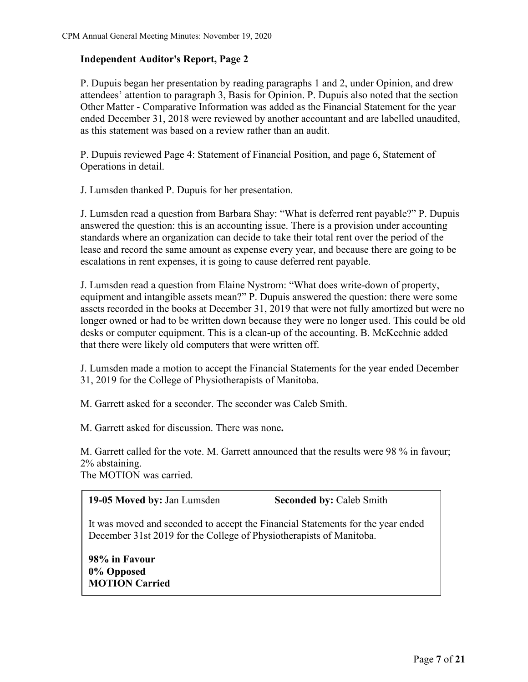### **Independent Auditor's Report, Page 2**

P. Dupuis began her presentation by reading paragraphs 1 and 2, under Opinion, and drew attendees' attention to paragraph 3, Basis for Opinion. P. Dupuis also noted that the section Other Matter - Comparative Information was added as the Financial Statement for the year ended December 31, 2018 were reviewed by another accountant and are labelled unaudited, as this statement was based on a review rather than an audit.

P. Dupuis reviewed Page 4: Statement of Financial Position, and page 6, Statement of Operations in detail.

J. Lumsden thanked P. Dupuis for her presentation.

J. Lumsden read a question from Barbara Shay: "What is deferred rent payable?" P. Dupuis answered the question: this is an accounting issue. There is a provision under accounting standards where an organization can decide to take their total rent over the period of the lease and record the same amount as expense every year, and because there are going to be escalations in rent expenses, it is going to cause deferred rent payable.

J. Lumsden read a question from Elaine Nystrom: "What does write-down of property, equipment and intangible assets mean?" P. Dupuis answered the question: there were some assets recorded in the books at December 31, 2019 that were not fully amortized but were no longer owned or had to be written down because they were no longer used. This could be old desks or computer equipment. This is a clean-up of the accounting. B. McKechnie added that there were likely old computers that were written off.

J. Lumsden made a motion to accept the Financial Statements for the year ended December 31, 2019 for the College of Physiotherapists of Manitoba.

M. Garrett asked for a seconder. The seconder was Caleb Smith.

M. Garrett asked for discussion. There was none**.**

M. Garrett called for the vote. M. Garrett announced that the results were 98 % in favour; 2% abstaining.

The MOTION was carried.

**19-05 Moved by:** Jan Lumsden **Seconded by:** Caleb Smith

It was moved and seconded to accept the Financial Statements for the year ended December 31st 2019 for the College of Physiotherapists of Manitoba.

**98% in Favour 0% Opposed MOTION Carried**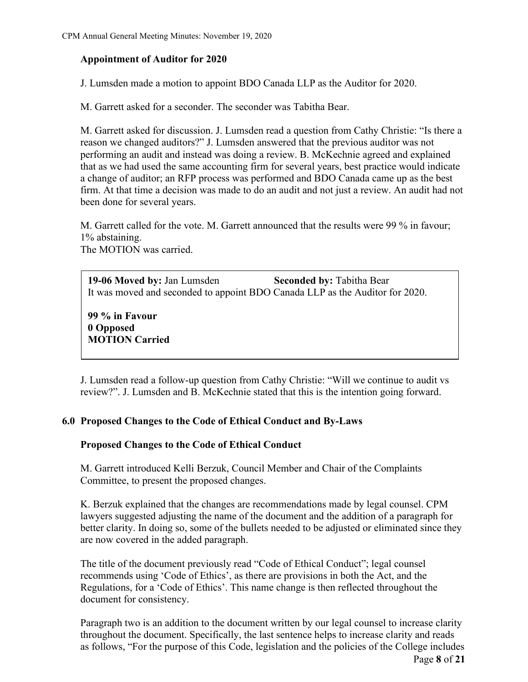## **Appointment of Auditor for 2020**

J. Lumsden made a motion to appoint BDO Canada LLP as the Auditor for 2020.

M. Garrett asked for a seconder. The seconder was Tabitha Bear.

M. Garrett asked for discussion. J. Lumsden read a question from Cathy Christie: "Is there a reason we changed auditors?" J. Lumsden answered that the previous auditor was not performing an audit and instead was doing a review. B. McKechnie agreed and explained that as we had used the same accounting firm for several years, best practice would indicate a change of auditor; an RFP process was performed and BDO Canada came up as the best firm. At that time a decision was made to do an audit and not just a review. An audit had not been done for several years.

M. Garrett called for the vote. M. Garrett announced that the results were 99 % in favour; 1% abstaining. The MOTION was carried.

**19-06 Moved by:** Jan Lumsden **Seconded by:** Tabitha Bear It was moved and seconded to appoint BDO Canada LLP as the Auditor for 2020.

**99 % in Favour 0 Opposed MOTION Carried**

J. Lumsden read a follow-up question from Cathy Christie: "Will we continue to audit vs review?". J. Lumsden and B. McKechnie stated that this is the intention going forward.

## **6.0 Proposed Changes to the Code of Ethical Conduct and By-Laws**

## **Proposed Changes to the Code of Ethical Conduct**

M. Garrett introduced Kelli Berzuk, Council Member and Chair of the Complaints Committee, to present the proposed changes.

K. Berzuk explained that the changes are recommendations made by legal counsel. CPM lawyers suggested adjusting the name of the document and the addition of a paragraph for better clarity. In doing so, some of the bullets needed to be adjusted or eliminated since they are now covered in the added paragraph.

The title of the document previously read "Code of Ethical Conduct"; legal counsel recommends using 'Code of Ethics', as there are provisions in both the Act, and the Regulations, for a 'Code of Ethics'. This name change is then reflected throughout the document for consistency.

Page **8** of **21** Paragraph two is an addition to the document written by our legal counsel to increase clarity throughout the document. Specifically, the last sentence helps to increase clarity and reads as follows, "For the purpose of this Code, legislation and the policies of the College includes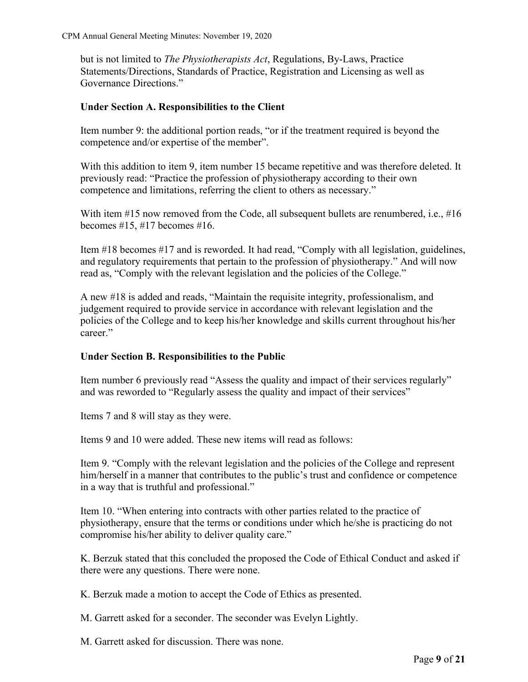but is not limited to *The Physiotherapists Act*, Regulations, By-Laws, Practice Statements/Directions, Standards of Practice, Registration and Licensing as well as Governance Directions."

## **Under Section A. Responsibilities to the Client**

Item number 9: the additional portion reads, "or if the treatment required is beyond the competence and/or expertise of the member".

With this addition to item 9, item number 15 became repetitive and was therefore deleted. It previously read: "Practice the profession of physiotherapy according to their own competence and limitations, referring the client to others as necessary."

With item #15 now removed from the Code, all subsequent bullets are renumbered, i.e., #16 becomes  $\#15$ ,  $\#17$  becomes  $\#16$ .

Item #18 becomes #17 and is reworded. It had read, "Comply with all legislation, guidelines, and regulatory requirements that pertain to the profession of physiotherapy." And will now read as, "Comply with the relevant legislation and the policies of the College."

A new #18 is added and reads, "Maintain the requisite integrity, professionalism, and judgement required to provide service in accordance with relevant legislation and the policies of the College and to keep his/her knowledge and skills current throughout his/her career."

#### **Under Section B. Responsibilities to the Public**

Item number 6 previously read "Assess the quality and impact of their services regularly" and was reworded to "Regularly assess the quality and impact of their services"

Items 7 and 8 will stay as they were.

Items 9 and 10 were added. These new items will read as follows:

Item 9. "Comply with the relevant legislation and the policies of the College and represent him/herself in a manner that contributes to the public's trust and confidence or competence in a way that is truthful and professional."

Item 10. "When entering into contracts with other parties related to the practice of physiotherapy, ensure that the terms or conditions under which he/she is practicing do not compromise his/her ability to deliver quality care."

K. Berzuk stated that this concluded the proposed the Code of Ethical Conduct and asked if there were any questions. There were none.

K. Berzuk made a motion to accept the Code of Ethics as presented.

M. Garrett asked for a seconder. The seconder was Evelyn Lightly.

M. Garrett asked for discussion. There was none.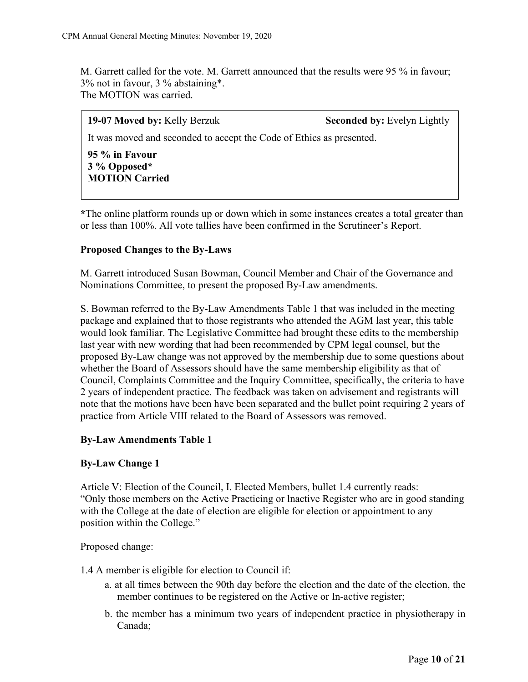M. Garrett called for the vote. M. Garrett announced that the results were 95 % in favour; 3% not in favour, 3 % abstaining\*. The MOTION was carried.

| 19-07 Moved by: Kelly Berzuk                                         | <b>Seconded by: Evelyn Lightly</b> |  |  |
|----------------------------------------------------------------------|------------------------------------|--|--|
| It was moved and seconded to accept the Code of Ethics as presented. |                                    |  |  |
| 95 % in Favour<br>3 % Opposed*<br><b>MOTION Carried</b>              |                                    |  |  |

**\***The online platform rounds up or down which in some instances creates a total greater than or less than 100%. All vote tallies have been confirmed in the Scrutineer's Report.

#### **Proposed Changes to the By-Laws**

M. Garrett introduced Susan Bowman, Council Member and Chair of the Governance and Nominations Committee, to present the proposed By-Law amendments.

S. Bowman referred to the By-Law Amendments Table 1 that was included in the meeting package and explained that to those registrants who attended the AGM last year, this table would look familiar. The Legislative Committee had brought these edits to the membership last year with new wording that had been recommended by CPM legal counsel, but the proposed By-Law change was not approved by the membership due to some questions about whether the Board of Assessors should have the same membership eligibility as that of Council, Complaints Committee and the Inquiry Committee, specifically, the criteria to have 2 years of independent practice. The feedback was taken on advisement and registrants will note that the motions have been have been separated and the bullet point requiring 2 years of practice from Article VIII related to the Board of Assessors was removed.

#### **By-Law Amendments Table 1**

#### **By-Law Change 1**

Article V: Election of the Council, I. Elected Members, bullet 1.4 currently reads: "Only those members on the Active Practicing or lnactive Register who are in good standing with the College at the date of election are eligible for election or appointment to any position within the College."

Proposed change:

1.4 A member is eligible for election to Council if:

- a. at all times between the 90th day before the election and the date of the election, the member continues to be registered on the Active or In-active register;
- b. the member has a minimum two years of independent practice in physiotherapy in Canada;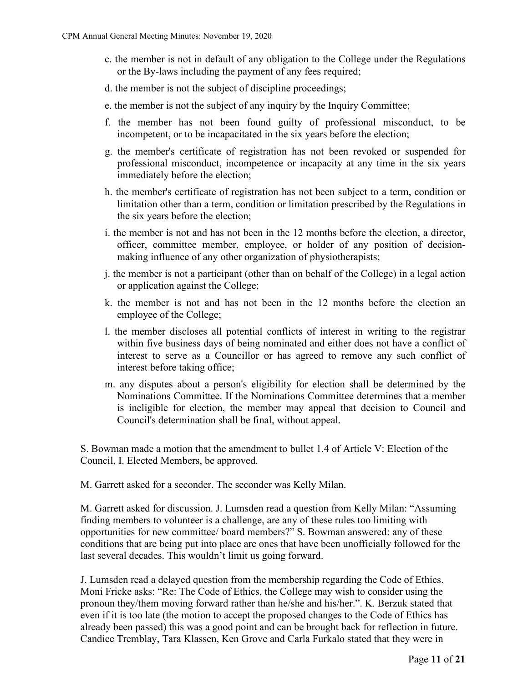- c. the member is not in default of any obligation to the College under the Regulations or the By-laws including the payment of any fees required;
- d. the member is not the subject of discipline proceedings;
- e. the member is not the subject of any inquiry by the Inquiry Committee;
- f. the member has not been found guilty of professional misconduct, to be incompetent, or to be incapacitated in the six years before the election;
- g. the member's certificate of registration has not been revoked or suspended for professional misconduct, incompetence or incapacity at any time in the six years immediately before the election;
- h. the member's certificate of registration has not been subject to a term, condition or limitation other than a term, condition or limitation prescribed by the Regulations in the six years before the election;
- i. the member is not and has not been in the 12 months before the election, a director, officer, committee member, employee, or holder of any position of decisionmaking influence of any other organization of physiotherapists;
- j. the member is not a participant (other than on behalf of the College) in a legal action or application against the College;
- k. the member is not and has not been in the 12 months before the election an employee of the College;
- l. the member discloses all potential conflicts of interest in writing to the registrar within five business days of being nominated and either does not have a conflict of interest to serve as a Councillor or has agreed to remove any such conflict of interest before taking office;
- m. any disputes about a person's eligibility for election shall be determined by the Nominations Committee. If the Nominations Committee determines that a member is ineligible for election, the member may appeal that decision to Council and Council's determination shall be final, without appeal.

S. Bowman made a motion that the amendment to bullet 1.4 of Article V: Election of the Council, I. Elected Members, be approved.

M. Garrett asked for a seconder. The seconder was Kelly Milan.

M. Garrett asked for discussion. J. Lumsden read a question from Kelly Milan: "Assuming finding members to volunteer is a challenge, are any of these rules too limiting with opportunities for new committee/ board members?" S. Bowman answered: any of these conditions that are being put into place are ones that have been unofficially followed for the last several decades. This wouldn't limit us going forward.

J. Lumsden read a delayed question from the membership regarding the Code of Ethics. Moni Fricke asks: "Re: The Code of Ethics, the College may wish to consider using the pronoun they/them moving forward rather than he/she and his/her.". K. Berzuk stated that even if it is too late (the motion to accept the proposed changes to the Code of Ethics has already been passed) this was a good point and can be brought back for reflection in future. Candice Tremblay, Tara Klassen, Ken Grove and Carla Furkalo stated that they were in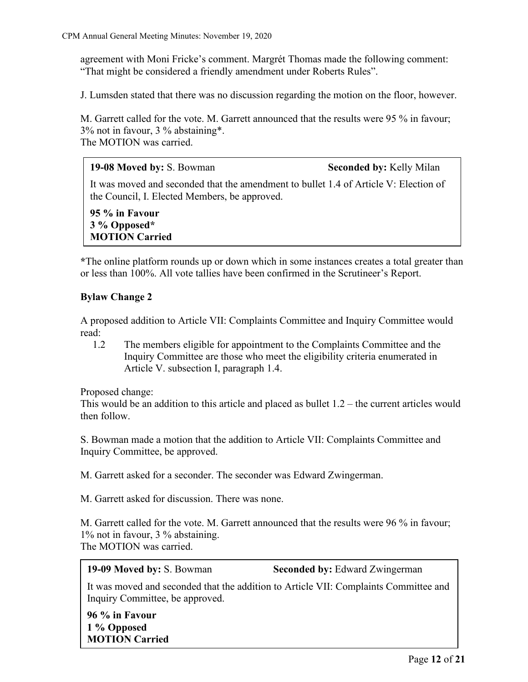agreement with Moni Fricke's comment. Margrét Thomas made the following comment: "That might be considered a friendly amendment under Roberts Rules".

J. Lumsden stated that there was no discussion regarding the motion on the floor, however.

M. Garrett called for the vote. M. Garrett announced that the results were 95 % in favour; 3% not in favour, 3 % abstaining\*. The MOTION was carried.

**19-08 Moved by:** S. Bowman Seconded by: Kelly Milan

It was moved and seconded that the amendment to bullet 1.4 of Article V: Election of the Council, I. Elected Members, be approved.

**95 % in Favour 3 % Opposed\* MOTION Carried**

**\***The online platform rounds up or down which in some instances creates a total greater than or less than 100%. All vote tallies have been confirmed in the Scrutineer's Report.

## **Bylaw Change 2**

A proposed addition to Article VII: Complaints Committee and Inquiry Committee would read:

1.2 The members eligible for appointment to the Complaints Committee and the Inquiry Committee are those who meet the eligibility criteria enumerated in Article V. subsection I, paragraph 1.4.

Proposed change:

This would be an addition to this article and placed as bullet 1.2 – the current articles would then follow.

S. Bowman made a motion that the addition to Article VII: Complaints Committee and Inquiry Committee, be approved.

M. Garrett asked for a seconder. The seconder was Edward Zwingerman.

M. Garrett asked for discussion. There was none.

M. Garrett called for the vote. M. Garrett announced that the results were 96 % in favour; 1% not in favour, 3 % abstaining. The MOTION was carried.

**19-09 Moved by:** S. Bowman **Seconded by:** Edward Zwingerman

It was moved and seconded that the addition to Article VII: Complaints Committee and Inquiry Committee, be approved.

**96 % in Favour 1 % Opposed MOTION Carried**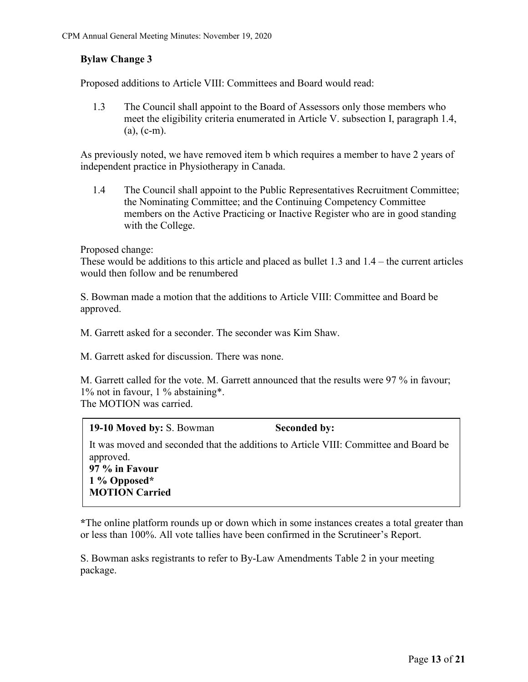## **Bylaw Change 3**

Proposed additions to Article VIII: Committees and Board would read:

1.3 The Council shall appoint to the Board of Assessors only those members who meet the eligibility criteria enumerated in Article V. subsection I, paragraph 1.4,  $(a)$ ,  $(c-m)$ .

As previously noted, we have removed item b which requires a member to have 2 years of independent practice in Physiotherapy in Canada.

1.4 The Council shall appoint to the Public Representatives Recruitment Committee; the Nominating Committee; and the Continuing Competency Committee members on the Active Practicing or Inactive Register who are in good standing with the College.

Proposed change:

These would be additions to this article and placed as bullet 1.3 and 1.4 – the current articles would then follow and be renumbered

S. Bowman made a motion that the additions to Article VIII: Committee and Board be approved.

M. Garrett asked for a seconder. The seconder was Kim Shaw.

M. Garrett asked for discussion. There was none.

M. Garrett called for the vote. M. Garrett announced that the results were 97 % in favour; 1% not in favour, 1 % abstaining\*. The MOTION was carried.

| 19-10 Moved by: S. Bowman                                                                                                                                      | <b>Seconded by:</b> |
|----------------------------------------------------------------------------------------------------------------------------------------------------------------|---------------------|
| It was moved and seconded that the additions to Article VIII: Committee and Board be<br>approved.<br>97 % in Favour<br>$1\%$ Opposed*<br><b>MOTION Carried</b> |                     |

**\***The online platform rounds up or down which in some instances creates a total greater than or less than 100%. All vote tallies have been confirmed in the Scrutineer's Report.

S. Bowman asks registrants to refer to By-Law Amendments Table 2 in your meeting package.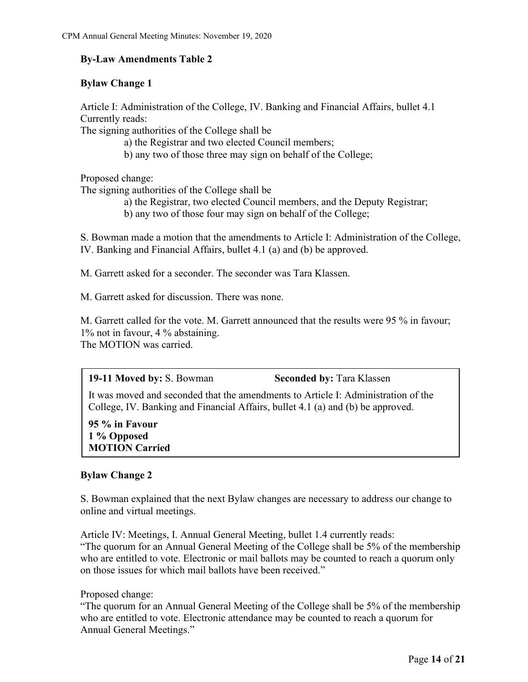## **By-Law Amendments Table 2**

## **Bylaw Change 1**

Article I: Administration of the College, IV. Banking and Financial Affairs, bullet 4.1 Currently reads:

The signing authorities of the College shall be

a) the Registrar and two elected Council members;

b) any two of those three may sign on behalf of the College;

Proposed change:

The signing authorities of the College shall be

- a) the Registrar, two elected Council members, and the Deputy Registrar;
- b) any two of those four may sign on behalf of the College;

S. Bowman made a motion that the amendments to Article I: Administration of the College, IV. Banking and Financial Affairs, bullet 4.1 (a) and (b) be approved.

M. Garrett asked for a seconder. The seconder was Tara Klassen.

M. Garrett asked for discussion. There was none.

M. Garrett called for the vote. M. Garrett announced that the results were 95 % in favour; 1% not in favour, 4 % abstaining. The MOTION was carried.

**19-11 Moved by:** S. Bowman **Seconded by:** Tara Klassen It was moved and seconded that the amendments to Article I: Administration of the

College, IV. Banking and Financial Affairs, bullet 4.1 (a) and (b) be approved.

## **95 % in Favour 1 % Opposed MOTION Carried**

## **Bylaw Change 2**

S. Bowman explained that the next Bylaw changes are necessary to address our change to online and virtual meetings.

Article IV: Meetings, I. Annual General Meeting, bullet 1.4 currently reads: "The quorum for an Annual General Meeting of the College shall be 5% of the membership who are entitled to vote. Electronic or mail ballots may be counted to reach a quorum only on those issues for which mail ballots have been received."

Proposed change:

"The quorum for an Annual General Meeting of the College shall be 5% of the membership who are entitled to vote. Electronic attendance may be counted to reach a quorum for Annual General Meetings."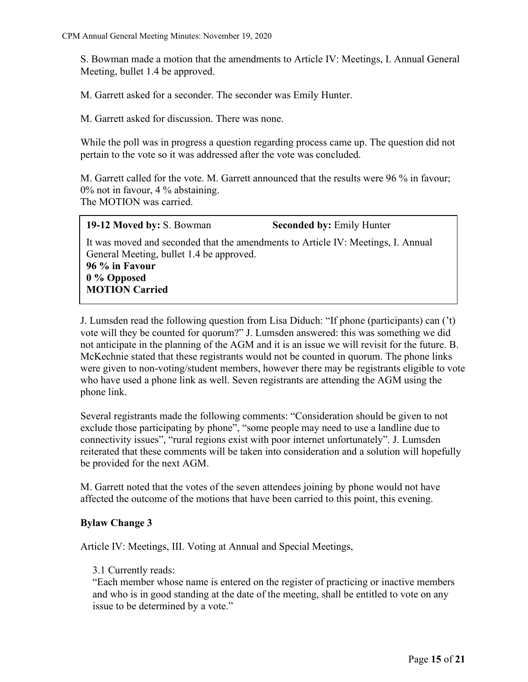S. Bowman made a motion that the amendments to Article IV: Meetings, I. Annual General Meeting, bullet 1.4 be approved.

M. Garrett asked for a seconder. The seconder was Emily Hunter.

M. Garrett asked for discussion. There was none.

While the poll was in progress a question regarding process came up. The question did not pertain to the vote so it was addressed after the vote was concluded.

M. Garrett called for the vote. M. Garrett announced that the results were 96 % in favour; 0% not in favour, 4 % abstaining. The MOTION was carried.

**19-12 Moved by:** S. Bowman **Seconded by:** Emily Hunter

It was moved and seconded that the amendments to Article IV: Meetings, I. Annual General Meeting, bullet 1.4 be approved. **96 % in Favour**

**0 % Opposed MOTION Carried**

J. Lumsden read the following question from Lisa Diduch: "If phone (participants) can ('t) vote will they be counted for quorum?" J. Lumsden answered: this was something we did not anticipate in the planning of the AGM and it is an issue we will revisit for the future. B. McKechnie stated that these registrants would not be counted in quorum. The phone links were given to non-voting/student members, however there may be registrants eligible to vote who have used a phone link as well. Seven registrants are attending the AGM using the phone link.

Several registrants made the following comments: "Consideration should be given to not exclude those participating by phone", "some people may need to use a landline due to connectivity issues", "rural regions exist with poor internet unfortunately". J. Lumsden reiterated that these comments will be taken into consideration and a solution will hopefully be provided for the next AGM.

M. Garrett noted that the votes of the seven attendees joining by phone would not have affected the outcome of the motions that have been carried to this point, this evening.

## **Bylaw Change 3**

Article IV: Meetings, III. Voting at Annual and Special Meetings,

#### 3.1 Currently reads:

"Each member whose name is entered on the register of practicing or inactive members and who is in good standing at the date of the meeting, shall be entitled to vote on any issue to be determined by a vote."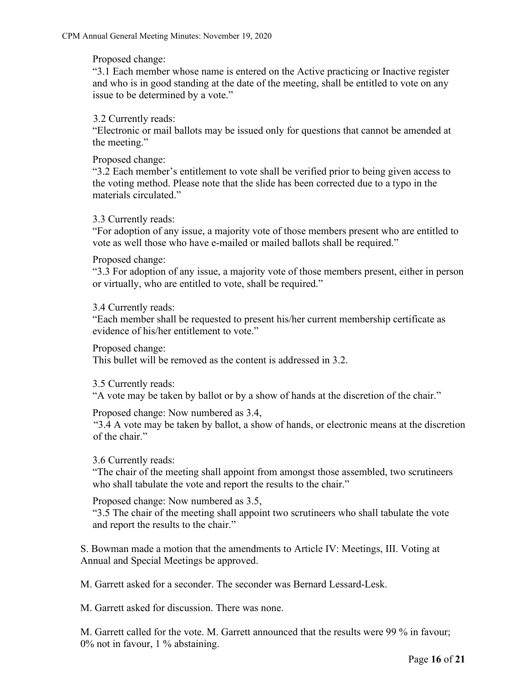Proposed change:

"3.1 Each member whose name is entered on the Active practicing or Inactive register and who is in good standing at the date of the meeting, shall be entitled to vote on any issue to be determined by a vote."

3.2 Currently reads:

"Electronic or mail ballots may be issued only for questions that cannot be amended at the meeting."

Proposed change:

"3.2 Each member's entitlement to vote shall be verified prior to being given access to the voting method. Please note that the slide has been corrected due to a typo in the materials circulated."

3.3 Currently reads:

"For adoption of any issue, a majority vote of those members present who are entitled to vote as well those who have e-mailed or mailed ballots shall be required."

Proposed change:

"3.3 For adoption of any issue, a majority vote of those members present, either in person or virtually, who are entitled to vote, shall be required."

3.4 Currently reads:

"Each member shall be requested to present his/her current membership certificate as evidence of his/her entitlement to vote."

Proposed change:

This bullet will be removed as the content is addressed in 3.2.

3.5 Currently reads:

"A vote may be taken by ballot or by a show of hands at the discretion of the chair."

Proposed change: Now numbered as 3.4,

"3.4 A vote may be taken by ballot, a show of hands, or electronic means at the discretion of the chair."

3.6 Currently reads:

"The chair of the meeting shall appoint from amongst those assembled, two scrutineers who shall tabulate the vote and report the results to the chair."

Proposed change: Now numbered as 3.5,

"3.5 The chair of the meeting shall appoint two scrutineers who shall tabulate the vote and report the results to the chair."

S. Bowman made a motion that the amendments to Article IV: Meetings, III. Voting at Annual and Special Meetings be approved.

M. Garrett asked for a seconder. The seconder was Bernard Lessard-Lesk.

M. Garrett asked for discussion. There was none.

M. Garrett called for the vote. M. Garrett announced that the results were 99 % in favour; 0% not in favour, 1 % abstaining.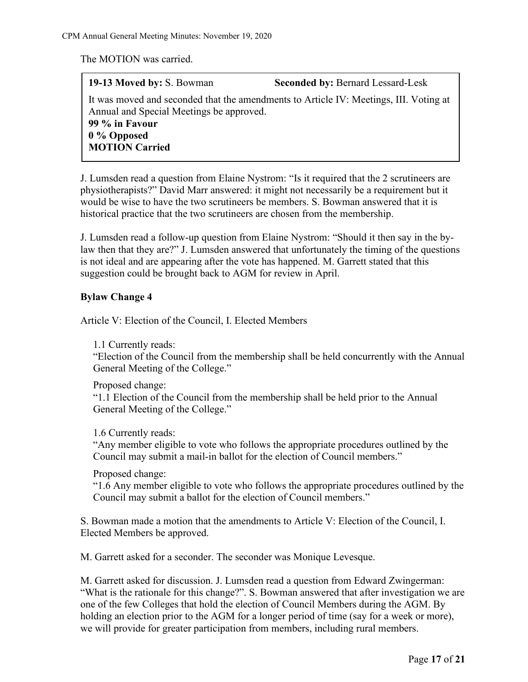The MOTION was carried.

**19-13 Moved by:** S. Bowman **Seconded by:** Bernard Lessard-Lesk It was moved and seconded that the amendments to Article IV: Meetings, III. Voting at

Annual and Special Meetings be approved. **99 % in Favour 0 % Opposed MOTION Carried**

J. Lumsden read a question from Elaine Nystrom: "Is it required that the 2 scrutineers are physiotherapists?" David Marr answered: it might not necessarily be a requirement but it would be wise to have the two scrutineers be members. S. Bowman answered that it is historical practice that the two scrutineers are chosen from the membership.

J. Lumsden read a follow-up question from Elaine Nystrom: "Should it then say in the bylaw then that they are?" J. Lumsden answered that unfortunately the timing of the questions is not ideal and are appearing after the vote has happened. M. Garrett stated that this suggestion could be brought back to AGM for review in April.

## **Bylaw Change 4**

Article V: Election of the Council, I. Elected Members

1.1 Currently reads:

"Election of the Council from the membership shall be held concurrently with the Annual General Meeting of the College."

Proposed change:

"1.1 Election of the Council from the membership shall be held prior to the Annual General Meeting of the College."

1.6 Currently reads:

"Any member eligible to vote who follows the appropriate procedures outlined by the Council may submit a mail-in ballot for the election of Council members."

Proposed change:

"1.6 Any member eligible to vote who follows the appropriate procedures outlined by the Council may submit a ballot for the election of Council members."

S. Bowman made a motion that the amendments to Article V: Election of the Council, I. Elected Members be approved.

M. Garrett asked for a seconder. The seconder was Monique Levesque.

M. Garrett asked for discussion. J. Lumsden read a question from Edward Zwingerman: "What is the rationale for this change?". S. Bowman answered that after investigation we are one of the few Colleges that hold the election of Council Members during the AGM. By holding an election prior to the AGM for a longer period of time (say for a week or more), we will provide for greater participation from members, including rural members.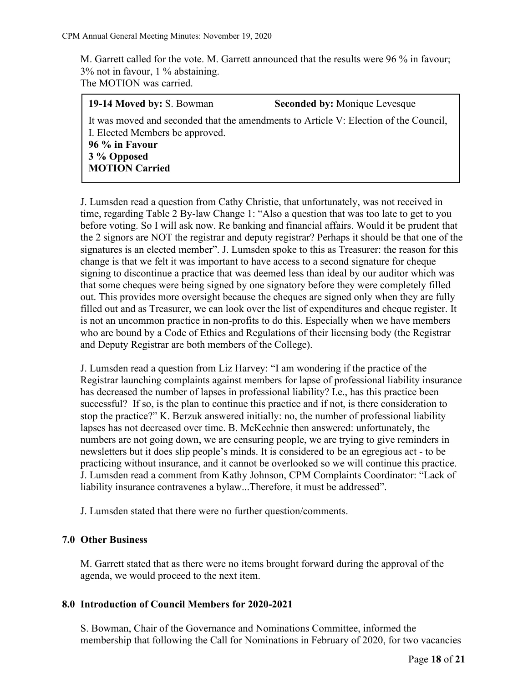M. Garrett called for the vote. M. Garrett announced that the results were 96 % in favour; 3% not in favour, 1 % abstaining. The MOTION was carried.

| <b>19-14 Moved by: S. Bowman</b>                                                                                        | <b>Seconded by: Monique Levesque</b> |  |  |  |
|-------------------------------------------------------------------------------------------------------------------------|--------------------------------------|--|--|--|
| It was moved and seconded that the amendments to Article V: Election of the Council,<br>I. Elected Members be approved. |                                      |  |  |  |
| 96 % in Favour                                                                                                          |                                      |  |  |  |
| 3 % Opposed                                                                                                             |                                      |  |  |  |
| <b>MOTION Carried</b>                                                                                                   |                                      |  |  |  |

J. Lumsden read a question from Cathy Christie, that unfortunately, was not received in time, regarding Table 2 By-law Change 1: "Also a question that was too late to get to you before voting. So I will ask now. Re banking and financial affairs. Would it be prudent that the 2 signors are NOT the registrar and deputy registrar? Perhaps it should be that one of the signatures is an elected member". J. Lumsden spoke to this as Treasurer: the reason for this change is that we felt it was important to have access to a second signature for cheque signing to discontinue a practice that was deemed less than ideal by our auditor which was that some cheques were being signed by one signatory before they were completely filled out. This provides more oversight because the cheques are signed only when they are fully filled out and as Treasurer, we can look over the list of expenditures and cheque register. It is not an uncommon practice in non-profits to do this. Especially when we have members who are bound by a Code of Ethics and Regulations of their licensing body (the Registrar and Deputy Registrar are both members of the College).

J. Lumsden read a question from Liz Harvey: "I am wondering if the practice of the Registrar launching complaints against members for lapse of professional liability insurance has decreased the number of lapses in professional liability? I.e., has this practice been successful? If so, is the plan to continue this practice and if not, is there consideration to stop the practice?" K. Berzuk answered initially: no, the number of professional liability lapses has not decreased over time. B. McKechnie then answered: unfortunately, the numbers are not going down, we are censuring people, we are trying to give reminders in newsletters but it does slip people's minds. It is considered to be an egregious act - to be practicing without insurance, and it cannot be overlooked so we will continue this practice. J. Lumsden read a comment from Kathy Johnson, CPM Complaints Coordinator: "Lack of liability insurance contravenes a bylaw...Therefore, it must be addressed".

J. Lumsden stated that there were no further question/comments.

## **7.0 Other Business**

M. Garrett stated that as there were no items brought forward during the approval of the agenda, we would proceed to the next item.

## **8.0 Introduction of Council Members for 2020-2021**

S. Bowman, Chair of the Governance and Nominations Committee, informed the membership that following the Call for Nominations in February of 2020, for two vacancies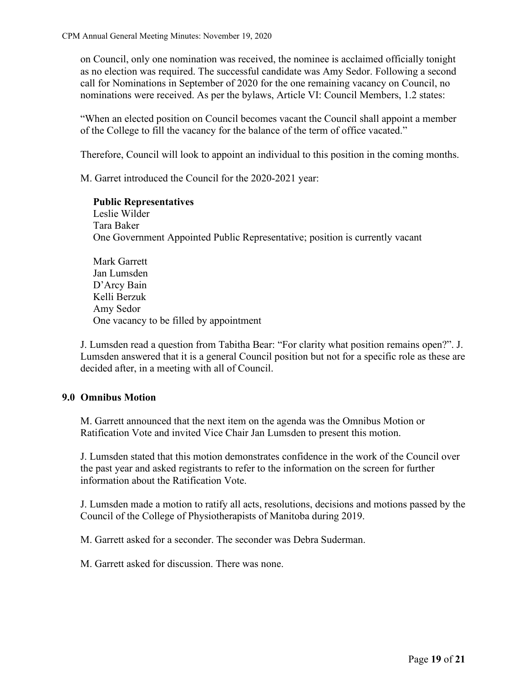on Council, only one nomination was received, the nominee is acclaimed officially tonight as no election was required. The successful candidate was Amy Sedor. Following a second call for Nominations in September of 2020 for the one remaining vacancy on Council, no nominations were received. As per the bylaws, Article VI: Council Members, 1.2 states:

"When an elected position on Council becomes vacant the Council shall appoint a member of the College to fill the vacancy for the balance of the term of office vacated."

Therefore, Council will look to appoint an individual to this position in the coming months.

M. Garret introduced the Council for the 2020-2021 year:

**Public Representatives** Leslie Wilder Tara Baker One Government Appointed Public Representative; position is currently vacant

Mark Garrett Jan Lumsden D'Arcy Bain Kelli Berzuk Amy Sedor One vacancy to be filled by appointment

J. Lumsden read a question from Tabitha Bear: "For clarity what position remains open?". J. Lumsden answered that it is a general Council position but not for a specific role as these are decided after, in a meeting with all of Council.

#### **9.0 Omnibus Motion**

M. Garrett announced that the next item on the agenda was the Omnibus Motion or Ratification Vote and invited Vice Chair Jan Lumsden to present this motion.

J. Lumsden stated that this motion demonstrates confidence in the work of the Council over the past year and asked registrants to refer to the information on the screen for further information about the Ratification Vote.

J. Lumsden made a motion to ratify all acts, resolutions, decisions and motions passed by the Council of the College of Physiotherapists of Manitoba during 2019.

M. Garrett asked for a seconder. The seconder was Debra Suderman.

M. Garrett asked for discussion. There was none.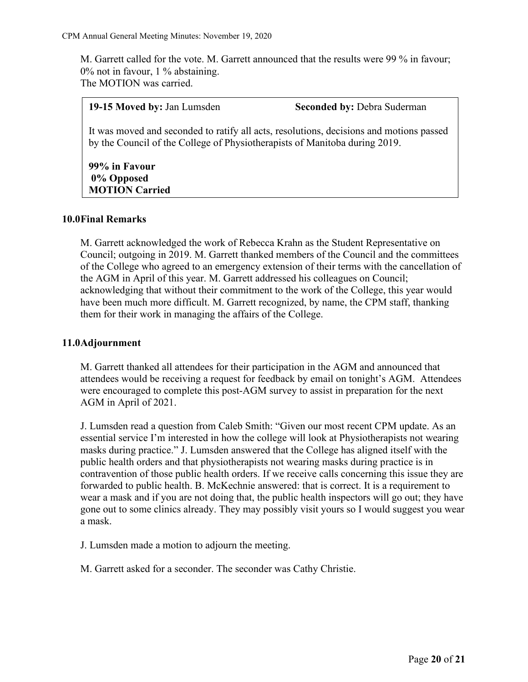M. Garrett called for the vote. M. Garrett announced that the results were 99 % in favour; 0% not in favour, 1 % abstaining. The MOTION was carried.

#### **19-15 Moved by:** Jan Lumsden **Seconded by:** Debra Suderman

It was moved and seconded to ratify all acts, resolutions, decisions and motions passed by the Council of the College of Physiotherapists of Manitoba during 2019.

#### **99% in Favour 0% Opposed MOTION Carried**

#### **10.0Final Remarks**

M. Garrett acknowledged the work of Rebecca Krahn as the Student Representative on Council; outgoing in 2019. M. Garrett thanked members of the Council and the committees of the College who agreed to an emergency extension of their terms with the cancellation of the AGM in April of this year. M. Garrett addressed his colleagues on Council; acknowledging that without their commitment to the work of the College, this year would have been much more difficult. M. Garrett recognized, by name, the CPM staff, thanking them for their work in managing the affairs of the College.

#### **11.0Adjournment**

M. Garrett thanked all attendees for their participation in the AGM and announced that attendees would be receiving a request for feedback by email on tonight's AGM. Attendees were encouraged to complete this post-AGM survey to assist in preparation for the next AGM in April of 2021.

J. Lumsden read a question from Caleb Smith: "Given our most recent CPM update. As an essential service I'm interested in how the college will look at Physiotherapists not wearing masks during practice." J. Lumsden answered that the College has aligned itself with the public health orders and that physiotherapists not wearing masks during practice is in contravention of those public health orders. If we receive calls concerning this issue they are forwarded to public health. B. McKechnie answered: that is correct. It is a requirement to wear a mask and if you are not doing that, the public health inspectors will go out; they have gone out to some clinics already. They may possibly visit yours so I would suggest you wear a mask.

J. Lumsden made a motion to adjourn the meeting.

M. Garrett asked for a seconder. The seconder was Cathy Christie.